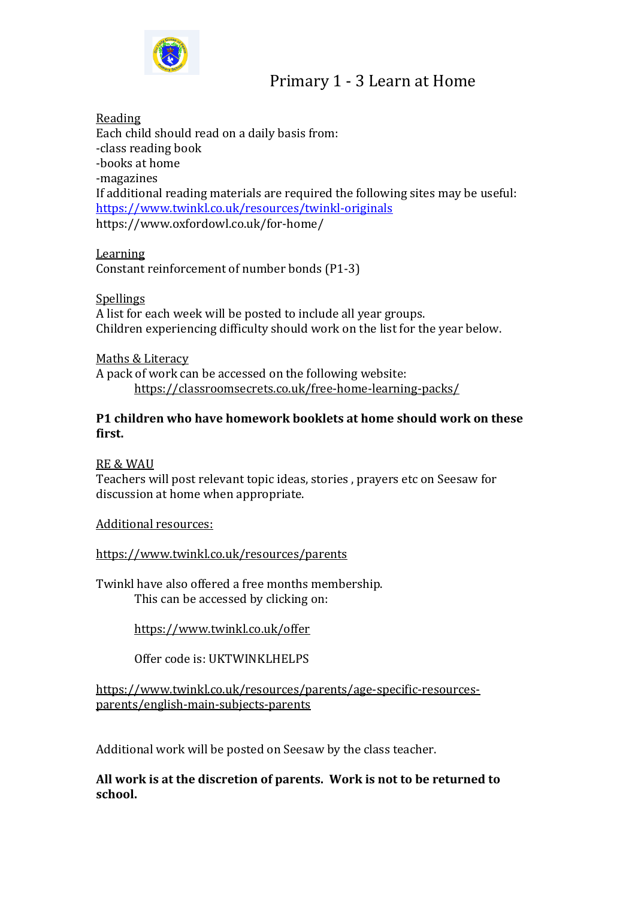

## Primary 1 - 3 Learn at Home

Reading

Each child should read on a daily basis from: -class reading book -books at home -magazines If additional reading materials are required the following sites may be useful: <https://www.twinkl.co.uk/resources/twinkl-originals> https://www.oxfordowl.co.uk/for-home/

Learning

Constant reinforcement of number bonds (P1-3)

Spellings

A list for each week will be posted to include all year groups. Children experiencing difficulty should work on the list for the year below.

Maths & Literacy A pack of work can be accessed on the following website: <https://classroomsecrets.co.uk/free-home-learning-packs/>

## **P1 children who have homework booklets at home should work on these first.**

## RE & WAU

Teachers will post relevant topic ideas, stories , prayers etc on Seesaw for discussion at home when appropriate.

Additional resources:

<https://www.twinkl.co.uk/resources/parents>

Twinkl have also offered a free months membership. This can be accessed by clicking on:

<https://www.twinkl.co.uk/offer>

Offer code is: UKTWINKLHELPS

[https://www.twinkl.co.uk/resources/parents/age-specific-resources](https://www.twinkl.co.uk/resources/parents/age-specific-resources-parents/english-main-subjects-parents)[parents/english-main-subjects-parents](https://www.twinkl.co.uk/resources/parents/age-specific-resources-parents/english-main-subjects-parents)

Additional work will be posted on Seesaw by the class teacher.

**All work is at the discretion of parents. Work is not to be returned to school.**